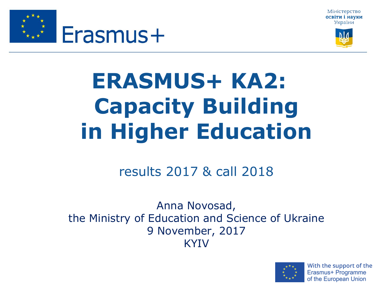





# **ERASMUS+ KA2: Capacity Building in Higher Education**

#### results 2017 & call 2018

Anna Novosad, the Ministry of Education and Science of Ukraine 9 November, 2017 KYIV

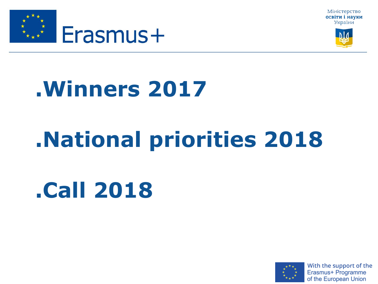





# **.National priorities 2018**

# **.Call 2018**



With the support of the Erasmus+ Programme of the European Union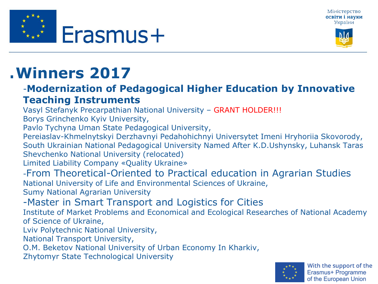





#### -**Modernization of Pedagogical Higher Education by Innovative Teaching Instruments**

Vasyl Stefanyk Precarpathian National University – GRANT HOLDER!!!

Borys Grinchenko Kyiv University,

Pavlo Tychyna Uman State Pedagogical University,

Pereiaslav-Khmelnytskyi Derzhavnyi Pedahohichnyi Universytet Imeni Hryhoriia Skovorody, South Ukrainian National Pedagogical University Named After K.D.Ushynsky, Luhansk Taras Shevchenko National University (relocated)

Limited Liability Company «Quality Ukraine»

-From Theoretical-Oriented to Practical education in Agrarian Studies National University of Life and Environmental Sciences of Ukraine,

Sumy National Agrarian University

-Master in Smart Transport and Logistics for Cities

Institute of Market Problems and Economical and Ecological Researches of National Academy of Science of Ukraine,

Lviv Polytechnic National University,

National Transport University,

O.M. Beketov National University of Urban Economy In Kharkiv,

Zhytomyr State Technological University



With the support of the Erasmus+ Programme of the European Union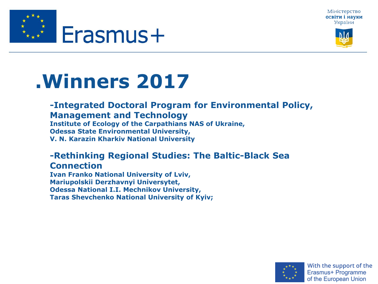





#### **-Integrated Doctoral Program for Environmental Policy, Management and Technology Institute of Ecology of the Carpathians NAS of Ukraine,**

**Odessa State Environmental University,** 

**V. N. Karazin Kharkiv National University**

#### **-Rethinking Regional Studies: The Baltic-Black Sea Connection**

**Ivan Franko National University of Lviv, Mariupolskii Derzhavnyi Universytet, Odessa National I.I. Mechnikov University, Taras Shevchenko National University of Kyiv;**

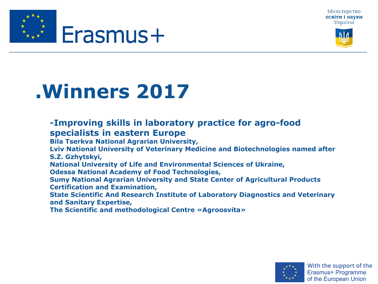





#### **-Improving skills in laboratory practice for agro-food specialists in eastern Europe**

**Bila Tserkva National Agrarian University,** 

**Lviv National University of Veterinary Medicine and Biotechnologies named after S.Z. Gzhytskyi,** 

**National University of Life and Environmental Sciences of Ukraine,** 

**Odessa National Academy of Food Technologies,** 

**Sumy National Agrarian University and State Center of Agricultural Products Certification and Examination,** 

**State Scientific And Research Institute of Laboratory Diagnostics and Veterinary and Sanitary Expertise,** 

**The Scientific and methodological Centre «Agroosvita»** 

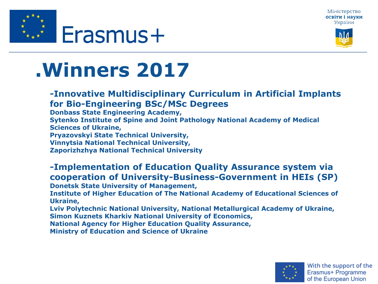





- **-Innovative Multidisciplinary Curriculum in Artificial Implants for Bio-Engineering BSc/MSc Degrees**
- **Donbass State Engineering Academy,**
- **Sytenko Institute of Spine and Joint Pathology National Academy of Medical Sciences of Ukraine,**
- **Pryazovskyi State Technical University,**
- **Vinnytsia National Technical University,**
- **Zaporizhzhya National Technical University**
- **-Implementation of Education Quality Assurance system via cooperation of University-Business-Government in HEIs (SP)**
- **Donetsk State University of Management,**
- **Institute of Higher Education of The National Academy of Educational Sciences of Ukraine,**
- **Lviv Polytechnic National University, National Metallurgical Academy of Ukraine, Simon Kuznets Kharkiv National University of Economics,**
- **National Agency for Higher Education Quality Assurance,**
- **Ministry of Education and Science of Ukraine**

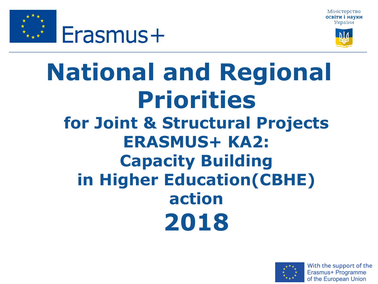Міністерство освіти і науки України





### **National and Regional Priorities for Joint & Structural Projects ERASMUS+ KA2: Capacity Building in Higher Education(CBHE) action 2018**

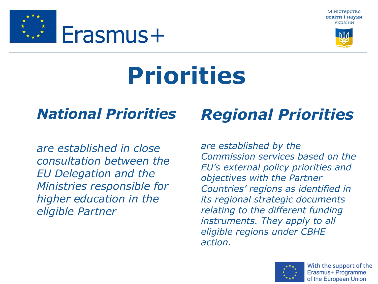Міністерство освіти і науки України



# **Priorities**

#### • *National Priorities*

Erasmus+

• *are established in close consultation between the EU Delegation and the Ministries responsible for higher education in the eligible Partner* 

### • *Regional Priorities*

• *are established by the Commission services based on the EU's external policy priorities and objectives with the Partner Countries' regions as identified in its regional strategic documents relating to the different funding instruments. They apply to all eligible regions under CBHE action.* 



With the support of the Erasmus+ Programme of the European Union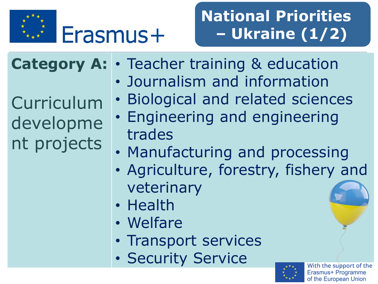

### **National Priorities – Ukraine (1/2)**

**Category A:**

Curriculum developme nt projects

• Teacher training & education

- Journalism and information
- Biological and related sciences
- Engineering and engineering trades
- Manufacturing and processing
- Agriculture, forestry, fishery and veterinary
- Health
- Welfare
- Transport services
- Security Service

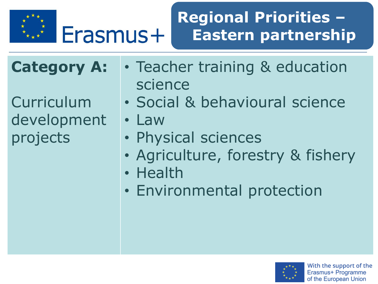

Erasmus+

#### **Regional Priorities – Eastern partnership**

**Category A:**

**Curriculum** development projects

- Teacher training & education science
- Social & behavioural science

• Law

- Physical sciences
- Agriculture, forestry & fishery
- Health
- Environmental protection

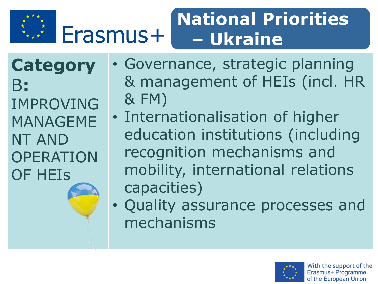

#### **National Priorities**  Erasmus+ **– Ukraine**

**Category** B**:** IMPROVING MANAGEME NT AND OPERATION OF HEIs

• Governance, strategic planning & management of HEIs (incl. HR & FM)

- Internationalisation of higher education institutions (including recognition mechanisms and mobility, international relations capacities)
- Quality assurance processes and mechanisms

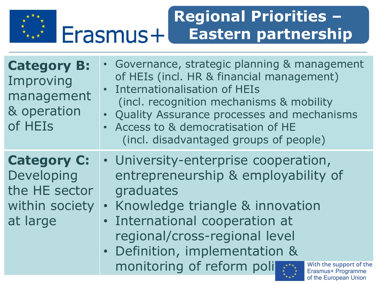

#### **Regional Priorities – Erasmus+** Eastern partnership

| <b>Category B:</b><br>Improving<br>management<br>& operation<br>of HEIs         | • Governance, strategic planning & management<br>of HEIs (incl. HR & financial management)<br><b>Internationalisation of HEIs</b><br>(incl. recognition mechanisms & mobility)<br>• Quality Assurance processes and mechanisms<br>Access to & democratisation of HE<br>$\bullet$<br>(incl. disadvantaged groups of people)                           |
|---------------------------------------------------------------------------------|------------------------------------------------------------------------------------------------------------------------------------------------------------------------------------------------------------------------------------------------------------------------------------------------------------------------------------------------------|
| <b>Category C:</b><br>Developing<br>the HE sector<br>within society<br>at large | • University-enterprise cooperation,<br>entrepreneurship & employability of<br>graduates<br>Knowledge triangle & innovation<br>$\bullet$<br>· International cooperation at<br>regional/cross-regional level<br>• Definition, implementation &<br>monitoring of reform poli<br>With the support of the<br>Erasmus+ Programme<br>of the European Union |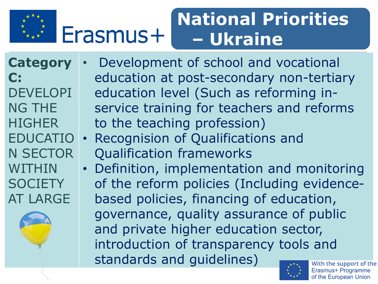

#### **National Priorities**  Erasmus+ **– Ukraine**

**Category C:** 

**DEVELOPI** NG THE **HIGHER** EDUCATIO N SECTOR WITHIN **SOCIETY** AT LARGE

• Development of school and vocational education at post-secondary non-tertiary education level (Such as reforming inservice training for teachers and reforms to the teaching profession)

- Recognision of Qualifications and Qualification frameworks
- Definition, implementation and monitoring of the reform policies (Including evidencebased policies, financing of education, governance, quality assurance of public and private higher education sector, introduction of transparency tools and standards and guidelines)

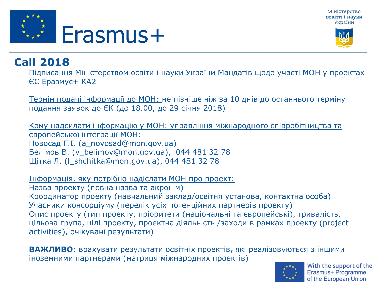





#### **Call 2018**

Підписання Міністерством освіти і науки України Мандатів щодо участі МОН у проектах ЄС Еразмус+ КА2

Термін подачі інформації до МОН: не пізніше ніж за 10 днів до останнього терміну подання заявок до ЄК (до 18.00, до 29 січня 2018)

Кому надсилати інформацію у МОН: управління міжнародного співробітництва та європейської інтеграції МОН: Новосад Г.І. (a\_novosad@mon.gov.ua) Белімов В. (v\_belimov@mon.gov.ua), 044 481 32 78 Щітка Л. (l\_shchitka@mon.gov.ua), 044 481 32 78

Інформація, яку потрібно надіслати МОН про проект: Назва проекту (повна назва та акронім) Координатор проекту (навчальний заклад/освітня установа, контактна особа) Учасники консорціуму (перелік усіх потенційних партнерів проекту) Опис проекту (тип проекту, пріоритети (національні та європейські), тривалість, цільова група, цілі проекту, проектна діяльність /заходи в рамках проекту (project activities), очікувані результати)

**ВАЖЛИВО**: врахувати результати освітніх проектів**,** які реалізовуються з іншими іноземними партнерами (матриця міжнародних проектів)